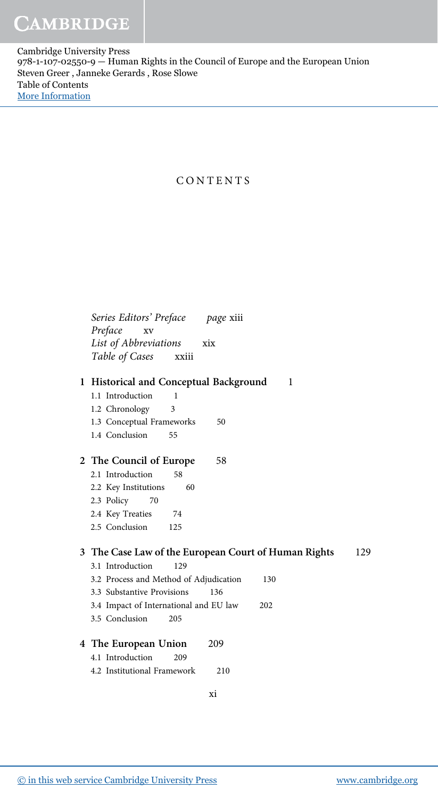Cambridge University Press 978-1-107-02550-9 — Human Rights in the Council of Europe and the European Union Steven Greer , Janneke Gerards , Rose Slowe Table of Contents [More Information](www.cambridge.org/9781107025509)

## CONTENTS

| Series Editors' Preface<br><i>page</i> xiii                 |
|-------------------------------------------------------------|
| Preface<br>XV                                               |
| List of Abbreviations<br>xix                                |
| Table of Cases<br>xxiii                                     |
|                                                             |
| 1 Historical and Conceptual Background<br>1                 |
| 1.1 Introduction<br>1                                       |
| 1.2 Chronology<br>3                                         |
| 1.3 Conceptual Frameworks<br>50                             |
| 1.4 Conclusion<br>55                                        |
|                                                             |
| 2 The Council of Europe<br>58                               |
| 2.1 Introduction<br>58                                      |
| 2.2 Key Institutions<br>60                                  |
| 2.3 Policy<br>70                                            |
| 2.4 Key Treaties<br>-74                                     |
| 2.5 Conclusion<br>125                                       |
|                                                             |
| 3 The Case Law of the European Court of Human Rights<br>129 |
| 3.1 Introduction<br>129                                     |
| 3.2 Process and Method of Adjudication<br>130               |
| 3.3 Substantive Provisions<br>136                           |
| 3.4 Impact of International and EU law<br>202               |
| 3.5 Conclusion<br>205                                       |
|                                                             |
| 4 The European Union<br>209                                 |
| 4.1 Introduction<br>209                                     |
| 4.2 Institutional Framework<br>210                          |
|                                                             |

xi